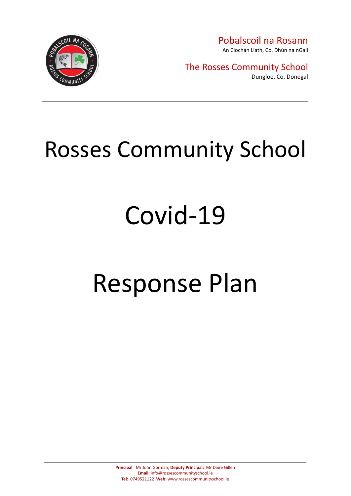

The Rosses Community School Dungloe, Co. Donegal

# Rosses Community School

# Covid-19

# Response Plan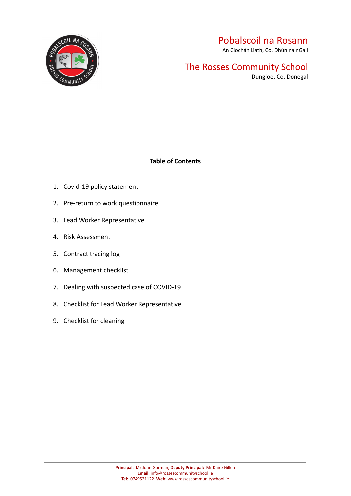

An Clochán Liath, Co. Dhún na nGall

# The Rosses Community School

Dungloe, Co. Donegal

#### **Table of Contents**

- 1. Covid-19 policy statement
- 2. Pre-return to work questionnaire
- 3. Lead Worker Representative
- 4. Risk Assessment
- 5. Contract tracing log
- 6. Management checklist
- 7. Dealing with suspected case of COVID-19
- 8. Checklist for Lead Worker Representative
- 9. Checklist for cleaning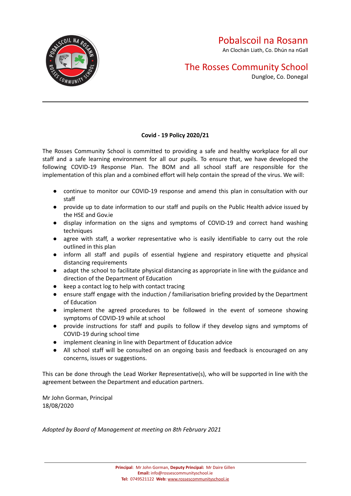## The Rosses Community School

Dungloe, Co. Donegal

#### **Covid - 19 Policy 2020/21**

The Rosses Community School is committed to providing a safe and healthy workplace for all our staff and a safe learning environment for all our pupils. To ensure that, we have developed the following COVID-19 Response Plan. The BOM and all school staff are responsible for the implementation of this plan and a combined effort will help contain the spread of the virus. We will:

- continue to monitor our COVID-19 response and amend this plan in consultation with our staff
- provide up to date information to our staff and pupils on the Public Health advice issued by the HSE and Gov.ie
- display information on the signs and symptoms of COVID-19 and correct hand washing techniques
- agree with staff, a worker representative who is easily identifiable to carry out the role outlined in this plan
- inform all staff and pupils of essential hygiene and respiratory etiquette and physical distancing requirements
- adapt the school to facilitate physical distancing as appropriate in line with the guidance and direction of the Department of Education
- keep a contact log to help with contact tracing
- ensure staff engage with the induction / familiarisation briefing provided by the Department of Education
- implement the agreed procedures to be followed in the event of someone showing symptoms of COVID-19 while at school
- provide instructions for staff and pupils to follow if they develop signs and symptoms of COVID-19 during school time
- implement cleaning in line with Department of Education advice
- All school staff will be consulted on an ongoing basis and feedback is encouraged on any concerns, issues or suggestions.

This can be done through the Lead Worker Representative(s), who will be supported in line with the agreement between the Department and education partners.

Mr John Gorman, Principal 18/08/2020

*Adopted by Board of Management at meeting on 8th February 2021*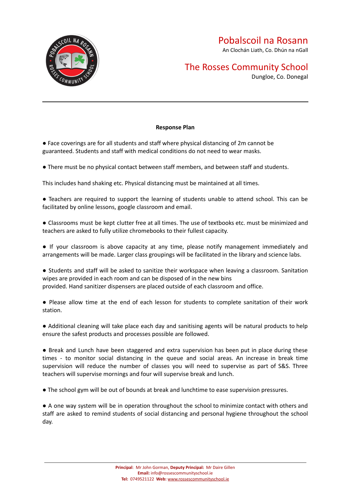

## The Rosses Community School

Dungloe, Co. Donegal

#### **Response Plan**

● Face coverings are for all students and staff where physical distancing of 2m cannot be guaranteed. Students and staff with medical conditions do not need to wear masks.

● There must be no physical contact between staff members, and between staff and students.

This includes hand shaking etc. Physical distancing must be maintained at all times.

● Teachers are required to support the learning of students unable to attend school. This can be facilitated by online lessons, google classroom and email.

● Classrooms must be kept clutter free at all times. The use of textbooks etc. must be minimized and teachers are asked to fully utilize chromebooks to their fullest capacity.

● If your classroom is above capacity at any time, please notify management immediately and arrangements will be made. Larger class groupings will be facilitated in the library and science labs.

● Students and staff will be asked to sanitize their workspace when leaving a classroom. Sanitation wipes are provided in each room and can be disposed of in the new bins provided. Hand sanitizer dispensers are placed outside of each classroom and office.

● Please allow time at the end of each lesson for students to complete sanitation of their work station.

● Additional cleaning will take place each day and sanitising agents will be natural products to help ensure the safest products and processes possible are followed.

● Break and Lunch have been staggered and extra supervision has been put in place during these times - to monitor social distancing in the queue and social areas. An increase in break time supervision will reduce the number of classes you will need to supervise as part of S&S. Three teachers will supervise mornings and four will supervise break and lunch.

● The school gym will be out of bounds at break and lunchtime to ease supervision pressures.

● A one way system will be in operation throughout the school to minimize contact with others and staff are asked to remind students of social distancing and personal hygiene throughout the school day.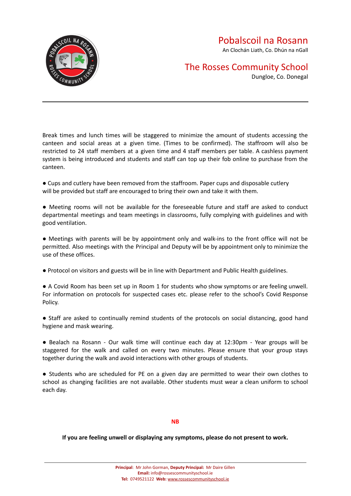

## The Rosses Community School

Dungloe, Co. Donegal

Break times and lunch times will be staggered to minimize the amount of students accessing the canteen and social areas at a given time. (Times to be confirmed). The staffroom will also be restricted to 24 staff members at a given time and 4 staff members per table. A cashless payment system is being introduced and students and staff can top up their fob online to purchase from the canteen.

● Cups and cutlery have been removed from the staffroom. Paper cups and disposable cutlery will be provided but staff are encouraged to bring their own and take it with them.

● Meeting rooms will not be available for the foreseeable future and staff are asked to conduct departmental meetings and team meetings in classrooms, fully complying with guidelines and with good ventilation.

● Meetings with parents will be by appointment only and walk-ins to the front office will not be permitted. Also meetings with the Principal and Deputy will be by appointment only to minimize the use of these offices.

● Protocol on visitors and guests will be in line with Department and Public Health guidelines.

● A Covid Room has been set up in Room 1 for students who show symptoms or are feeling unwell. For information on protocols for suspected cases etc. please refer to the school's Covid Response Policy.

● Staff are asked to continually remind students of the protocols on social distancing, good hand hygiene and mask wearing.

● Bealach na Rosann - Our walk time will continue each day at 12:30pm - Year groups will be staggered for the walk and called on every two minutes. Please ensure that your group stays together during the walk and avoid interactions with other groups of students.

● Students who are scheduled for PE on a given day are permitted to wear their own clothes to school as changing facilities are not available. Other students must wear a clean uniform to school each day.

#### **NB**

**If you are feeling unwell or displaying any symptoms, please do not present to work.**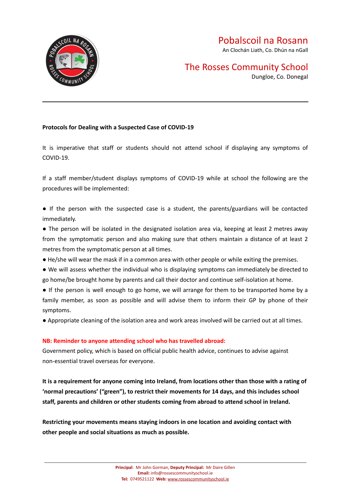

# The Rosses Community School

Dungloe, Co. Donegal

#### **Protocols for Dealing with a Suspected Case of COVID-19**

It is imperative that staff or students should not attend school if displaying any symptoms of COVID-19.

If a staff member/student displays symptoms of COVID-19 while at school the following are the procedures will be implemented:

● If the person with the suspected case is a student, the parents/guardians will be contacted immediately.

● The person will be isolated in the designated isolation area via, keeping at least 2 metres away from the symptomatic person and also making sure that others maintain a distance of at least 2 metres from the symptomatic person at all times.

- He/she will wear the mask if in a common area with other people or while exiting the premises.
- We will assess whether the individual who is displaying symptoms can immediately be directed to go home/be brought home by parents and call their doctor and continue self-isolation at home.
- If the person is well enough to go home, we will arrange for them to be transported home by a family member, as soon as possible and will advise them to inform their GP by phone of their symptoms.
- Appropriate cleaning of the isolation area and work areas involved will be carried out at all times.

#### **NB: Reminder to anyone attending school who has travelled abroad:**

Government policy, which is based on official public health advice, continues to advise against non-essential travel overseas for everyone.

It is a requirement for anyone coming into Ireland, from locations other than those with a rating of **'normal precautions' ("green"), to restrict their movements for 14 days, and this includes school staff, parents and children or other students coming from abroad to attend school in Ireland.**

**Restricting your movements means staying indoors in one location and avoiding contact with other people and social situations as much as possible.**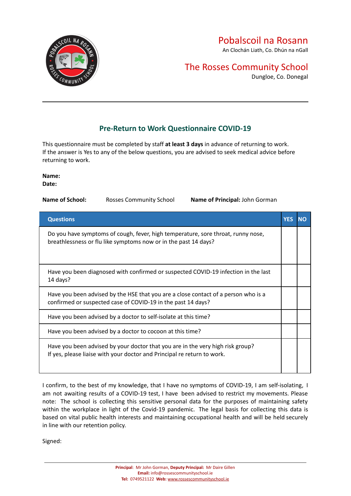

An Clochán Liath, Co. Dhún na nGall

## The Rosses Community School

Dungloe, Co. Donegal

### **Pre-Return to Work Questionnaire COVID-19**

This questionnaire must be completed by staff **at least 3 days** in advance of returning to work. If the answer is Yes to any of the below questions, you are advised to seek medical advice before returning to work.

**Name: Date:**

| Name of School: | <b>Rosses Community School</b> | Name of Principal: John Gorman |
|-----------------|--------------------------------|--------------------------------|
|                 |                                |                                |

| <b>Questions</b>                                                                                                                                          | YES |  |
|-----------------------------------------------------------------------------------------------------------------------------------------------------------|-----|--|
| Do you have symptoms of cough, fever, high temperature, sore throat, runny nose,<br>breathlessness or flu like symptoms now or in the past 14 days?       |     |  |
| Have you been diagnosed with confirmed or suspected COVID-19 infection in the last<br>14 days?                                                            |     |  |
| Have you been advised by the HSE that you are a close contact of a person who is a<br>confirmed or suspected case of COVID-19 in the past 14 days?        |     |  |
| Have you been advised by a doctor to self-isolate at this time?                                                                                           |     |  |
| Have you been advised by a doctor to cocoon at this time?                                                                                                 |     |  |
| Have you been advised by your doctor that you are in the very high risk group?<br>If yes, please liaise with your doctor and Principal re return to work. |     |  |

I confirm, to the best of my knowledge, that I have no symptoms of COVID-19, I am self-isolating, I am not awaiting results of a COVID-19 test, I have been advised to restrict my movements. Please note: The school is collecting this sensitive personal data for the purposes of maintaining safety within the workplace in light of the Covid-19 pandemic. The legal basis for collecting this data is based on vital public health interests and maintaining occupational health and will be held securely in line with our retention policy.

Signed: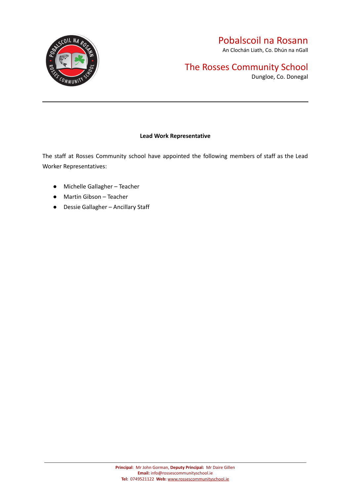

An Clochán Liath, Co. Dhún na nGall

## The Rosses Community School

Dungloe, Co. Donegal

#### **Lead Work Representative**

The staff at Rosses Community school have appointed the following members of staff as the Lead Worker Representatives:

- Michelle Gallagher Teacher
- Martin Gibson Teacher
- Dessie Gallagher Ancillary Staff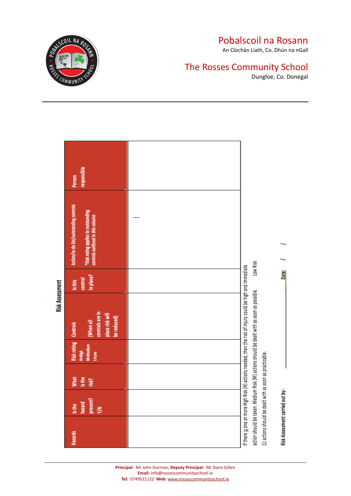

An Clochán Liath, Co. Dhún na nGall

## The Rosses Community School

Dungloe, Co. Donegal

|                        | responsible<br>Person<br>Action/to do list/outstanding controls<br><b>*Risk rating applies to outstanding</b><br>controls outlined in this column |  |                                                                                                                                                                                                        |                                 |
|------------------------|---------------------------------------------------------------------------------------------------------------------------------------------------|--|--------------------------------------------------------------------------------------------------------------------------------------------------------------------------------------------------------|---------------------------------|
| <b>Risk Assessment</b> |                                                                                                                                                   |  | Low Risk                                                                                                                                                                                               |                                 |
|                        | In place?<br>control<br>Is this                                                                                                                   |  |                                                                                                                                                                                                        | <b>Date:</b>                    |
|                        | controls are in<br>place risk will<br>be reduced)<br>When all                                                                                     |  | If there is one or more High Risk (H) actions needed, then the risk of injury could be high and immediate<br>action should be taken. Medium Risk (M) actions should be dealt with as soon as possible. |                                 |
|                        | <b>Risk rating Controls</b><br>H=High<br>M=Medium<br>Listow                                                                                       |  |                                                                                                                                                                                                        |                                 |
|                        | What<br>Is the<br>risk?                                                                                                                           |  |                                                                                                                                                                                                        |                                 |
|                        | present?<br>Y/N<br>hazard<br>Is the                                                                                                               |  |                                                                                                                                                                                                        |                                 |
|                        | Hazards                                                                                                                                           |  | (L) actions should be dealt with as soon as practicable.                                                                                                                                               | Risk Assessment carried out by: |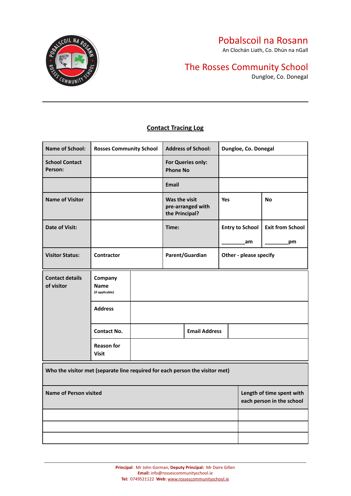An Clochán Liath, Co. Dhún na nGall

## The Rosses Community School

Dungloe, Co. Donegal



#### **Contact Tracing Log**

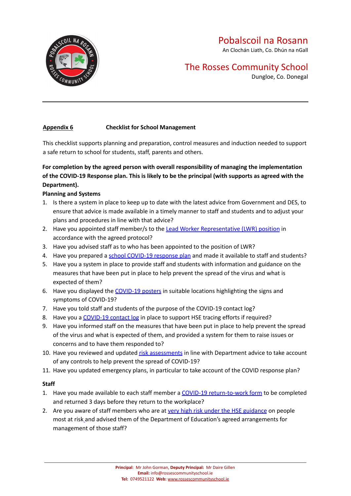

An Clochán Liath, Co. Dhún na nGall

## The Rosses Community School

Dungloe, Co. Donegal

#### **Appendix 6 Checklist for School Management**

This checklist supports planning and preparation, control measures and induction needed to support a safe return to school for students, staff, parents and others.

#### **For completion by the agreed person with overall responsibility of managing the implementation** of the COVID-19 Response plan. This is likely to be the principal (with supports as agreed with the **Department).**

#### **Planning and Systems**

- 1. Is there a system in place to keep up to date with the latest advice from Government and DES, to ensure that advice is made available in a timely manner to staff and students and to adjust your plans and procedures in line with that advice?
- 2. Have you appointed staff member/s to the Lead Worker [Representative](https://www.gov.ie/en/publication/744f4-appendices-checklists-and-policies-that-schools-must-follow-covid-19-response-plan-for-safe-reopening-of-schools/#appendix-3-lead-worker-representative) (LWR) position in accordance with the agreed protocol?
- 3. Have you advised staff as to who has been appointed to the position of LWR?
- 4. Have you prepared a school [COVID-19](https://www.gov.ie/en/publication/7acad-reopening-our-post-primary-schools/#covid-19-response-plan-for-safe-reopening-of-post-primary-schools) response plan and made it available to staff and students?
- 5. Have you a system in place to provide staff and students with information and guidance on the measures that have been put in place to help prevent the spread of the virus and what is expected of them?
- 6. Have you displayed the [COVID-19](https://www.gov.ie/en/publication/2da43-signage-for-reopening-of-schools/) posters in suitable locations highlighting the signs and symptoms of COVID-19?
- 7. Have you told staff and students of the purpose of the COVID-19 contact log?
- 8. Have you a [COVID-19](https://www.gov.ie/en/publication/744f4-appendices-checklists-and-policies-that-schools-must-follow-covid-19-response-plan-for-safe-reopening-of-schools/#appendix-5-contact-tracing-log) contact log in place to support HSE tracing efforts if required?
- 9. Have you informed staff on the measures that have been put in place to help prevent the spread of the virus and what is expected of them, and provided a system for them to raise issues or concerns and to have them responded to?
- 10. Have you reviewed and updated risk [assessments](https://www.gov.ie/en/publication/744f4-appendices-checklists-and-policies-that-schools-must-follow-covid-19-response-plan-for-safe-reopening-of-schools/#appendix-4-risk-assessment) in line with Department advice to take account of any controls to help prevent the spread of COVID-19?
- 11. Have you updated emergency plans, in particular to take account of the COVID response plan?

#### **Staff**

- 1. Have you made available to each staff member a COVID-19 [return-to-work](https://www.gov.ie/en/publication/744f4-appendices-checklists-and-policies-that-schools-must-follow-covid-19-response-plan-for-safe-reopening-of-schools/#appendix-2-pre-return-to-work-questionnaire) form to be completed and returned 3 days before they return to the workplace?
- 2. Are you aware of staff members who are at very high risk under the HSE [guidance](https://www2.hse.ie/conditions/coronavirus/people-at-higher-risk.html) on people most at risk and advised them of the Department of Education's agreed arrangements for management of those staff?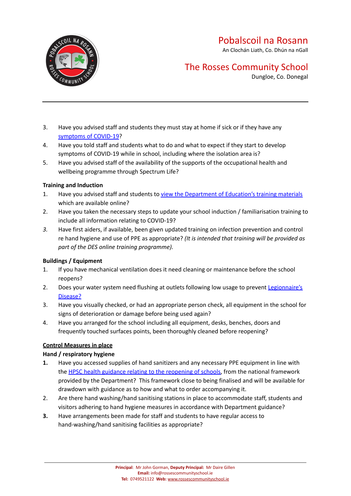An Clochán Liath, Co. Dhún na nGall



## The Rosses Community School

Dungloe, Co. Donegal

- 3. Have you advised staff and students they must stay at home if sick or if they have any [symptoms](https://www2.hse.ie/conditions/coronavirus/symptoms.html) of COVID-19?
- 4. Have you told staff and students what to do and what to expect if they start to develop symptoms of COVID-19 while in school, including where the isolation area is?
- 5. Have you advised staff of the availability of the supports of the occupational health and wellbeing programme through Spectrum Life?

#### **Training and Induction**

- 1. Have you advised staff and students to view the [Department](https://www.gov.ie/en/publication/dd7fb-induction-training-for-reopening-schools/) of Education's training materials which are available online?
- 2. Have you taken the necessary steps to update your school induction / familiarisation training to include all information relating to COVID-19?
- *3.* Have first aiders, if available, been given updated training on infection prevention and control re hand hygiene and use of PPE as appropriate? *(It is intended that training will be provided as part of the DES online training programme).*

#### **Buildings / Equipment**

- 1. If you have mechanical ventilation does it need cleaning or maintenance before the school reopens?
- 2. Does your water system need flushing at outlets following low usage to prevent [Legionnaire's](https://www2.hse.ie/conditions/legionnaires-disease.html) [Disease?](https://www2.hse.ie/conditions/legionnaires-disease.html)
- 3. Have you visually checked, or had an appropriate person check, all equipment in the school for signs of deterioration or damage before being used again?
- 4. Have you arranged for the school including all equipment, desks, benches, doors and frequently touched surfaces points, been thoroughly cleaned before reopening?

#### **Control Measures in place**

#### **Hand / respiratory hygiene**

- **1.** Have you accessed supplies of hand sanitizers and any necessary PPE equipment in line with the HPSC health guidance relating to the [reopening](https://assets.gov.ie/78748/8796d60e-790e-4007-add1-de18e509a3c1.pdf) of schools, from the national framework provided by the Department? This framework close to being finalised and will be available for drawdown with guidance as to how and what to order accompanying it.
- 2. Are there hand washing/hand sanitising stations in place to accommodate staff, students and visitors adhering to hand hygiene measures in accordance with Department guidance?
- **3.** Have arrangements been made for staff and students to have regular access to hand-washing/hand sanitising facilities as appropriate?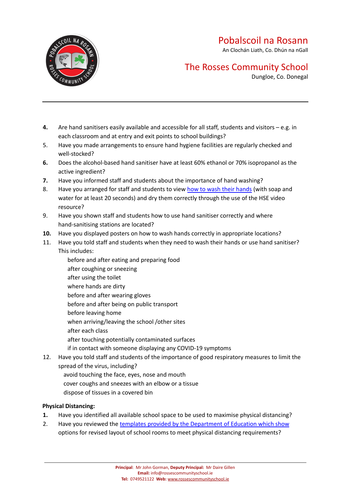An Clochán Liath, Co. Dhún na nGall



## The Rosses Community School

Dungloe, Co. Donegal

- **4.** Are hand sanitisers easily available and accessible for all staff, students and visitors e.g. in each classroom and at entry and exit points to school buildings?
- 5. Have you made arrangements to ensure hand hygiene facilities are regularly checked and well-stocked?
- **6.** Does the alcohol-based hand sanitiser have at least 60% ethanol or 70% isopropanol as the active ingredient?
- **7.** Have you informed staff and students about the importance of hand washing?
- 8. Have you arranged for staff and students to view how to wash their [hands](https://www2.hse.ie/wellbeing/how-to-wash-your-hands.html) (with soap and water for at least 20 seconds) and dry them correctly through the use of the HSE video resource?
- 9. Have you shown staff and students how to use hand sanitiser correctly and where hand-sanitising stations are located?
- **10.** Have you displayed posters on how to wash hands correctly in appropriate locations?
- 11. Have you told staff and students when they need to wash their hands or use hand sanitiser? This includes:
	- before and after eating and preparing food after coughing or sneezing after using the toilet where hands are dirty before and after wearing gloves before and after being on public transport before leaving home when arriving/leaving the school /other sites after each class after touching potentially contaminated surfaces if in contact with someone displaying any COVID-19 symptoms
- 12. Have you told staff and students of the importance of good respiratory measures to limit the spread of the virus, including?
	- avoid touching the face, eyes, nose and mouth
	- cover coughs and sneezes with an elbow or a tissue
	- dispose of tissues in a covered bin

#### **Physical Distancing:**

- **1.** Have you identified all available school space to be used to maximise physical distancing?
- 2. Have you reviewed the templates provided by the [Department](https://www.gov.ie/en/publication/7acad-reopening-our-post-primary-schools/#additional-guidelines-and-procedures) of Education which show options for revised layout of school rooms to meet physical distancing requirements?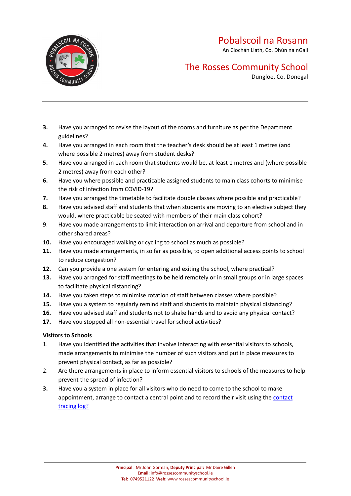An Clochán Liath, Co. Dhún na nGall



## The Rosses Community School

Dungloe, Co. Donegal

- **3.** Have you arranged to revise the layout of the rooms and furniture as per the Department guidelines?
- **4.** Have you arranged in each room that the teacher's desk should be at least 1 metres (and where possible 2 metres) away from student desks?
- **5.** Have you arranged in each room that students would be, at least 1 metres and (where possible 2 metres) away from each other?
- **6.** Have you where possible and practicable assigned students to main class cohorts to minimise the risk of infection from COVID-19?
- **7.** Have you arranged the timetable to facilitate double classes where possible and practicable?
- **8.** Have you advised staff and students that when students are moving to an elective subject they would, where practicable be seated with members of their main class cohort?
- 9. Have you made arrangements to limit interaction on arrival and departure from school and in other shared areas?
- **10.** Have you encouraged walking or cycling to school as much as possible?
- **11.** Have you made arrangements, in so far as possible, to open additional access points to school to reduce congestion?
- **12.** Can you provide a one system for entering and exiting the school, where practical?
- **13.** Have you arranged for staff meetings to be held remotely or in small groups or in large spaces to facilitate physical distancing?
- **14.** Have you taken steps to minimise rotation of staff between classes where possible?
- **15.** Have you a system to regularly remind staff and students to maintain physical distancing?
- **16.** Have you advised staff and students not to shake hands and to avoid any physical contact?
- **17.** Have you stopped all non-essential travel for school activities?

#### **Visitors to Schools**

- 1. Have you identified the activities that involve interacting with essential visitors to schools, made arrangements to minimise the number of such visitors and put in place measures to prevent physical contact, as far as possible?
- 2. Are there arrangements in place to inform essential visitors to schools of the measures to help prevent the spread of infection?
- **3.** Have you a system in place for all visitors who do need to come to the school to make appointment, arrange to contact a central point and to record their visit using the [contact](https://www.gov.ie/en/publication/744f4-appendices-checklists-and-policies-that-schools-must-follow-covid-19-response-plan-for-safe-reopening-of-schools/#appendix-5-contact-tracing-log) [tracing](https://www.gov.ie/en/publication/744f4-appendices-checklists-and-policies-that-schools-must-follow-covid-19-response-plan-for-safe-reopening-of-schools/#appendix-5-contact-tracing-log) log?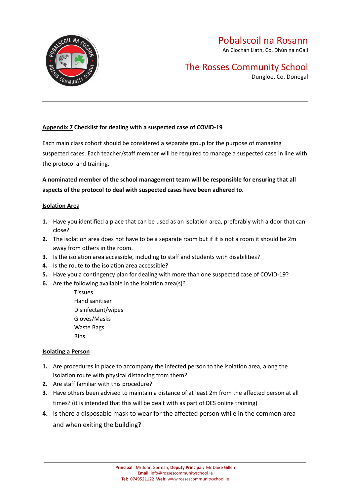

## The Rosses Community School

Dungloe, Co. Donegal

#### **Appendix 7 Checklist for dealing with a suspected case of COVID-19**

Each main class cohort should be considered a separate group for the purpose of managing suspected cases. Each teacher/staff member will be required to manage a suspected case in line with the protocol and training.

**A nominated member of the school management team will be responsible for ensuring that all aspects of the protocol to deal with suspected cases have been adhered to.**

#### **Isolation Area**

- **1.** Have you identified a place that can be used as an isolation area, preferably with a door that can close?
- **2.** The isolation area does not have to be a separate room but if it is not a room it should be 2m away from others in the room.
- **3.** Is the isolation area accessible, including to staff and students with disabilities?
- **4.** Is the route to the isolation area accessible?
- **5.** Have you a contingency plan for dealing with more than one suspected case of COVID-19?
- **6.** Are the following available in the isolation area(s)?
	- Tissues Hand sanitiser Disinfectant/wipes Gloves/Masks Waste Bags **Bins**

#### **Isolating a Person**

- **1.** Are procedures in place to accompany the infected person to the isolation area, along the isolation route with physical distancing from them?
- **2.** Are staff familiar with this procedure?
- **3.** Have others been advised to maintain a distance of at least 2m from the affected person at all times? (it is intended that this will be dealt with as part of DES online training)
- **4.** Is there a disposable mask to wear for the affected person while in the common area and when exiting the building?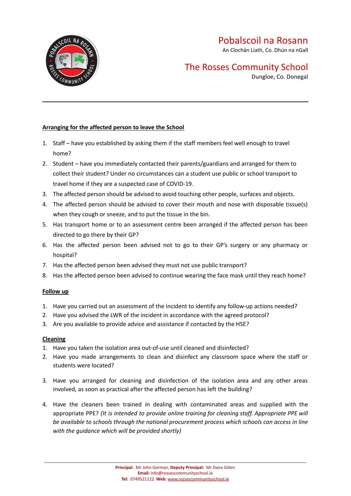

An Clochán Liath, Co. Dhún na nGall

## The Rosses Community School

Dungloe, Co. Donegal

#### **Arranging for the affected person to leave the School**

- 1. Staff have you established by asking them if the staff members feel well enough to travel home?
- 2. Student have you immediately contacted their parents/guardians and arranged for them to collect their student? Under no circumstances can a student use public or school transport to travel home if they are a suspected case of COVID-19.
- 3. The affected person should be advised to avoid touching other people, surfaces and objects.
- 4. The affected person should be advised to cover their mouth and nose with disposable tissue(s) when they cough or sneeze, and to put the tissue in the bin.
- 5. Has transport home or to an assessment centre been arranged if the affected person has been directed to go there by their GP?
- 6. Has the affected person been advised not to go to their GP's surgery or any pharmacy or hospital?
- 7. Has the affected person been advised they must not use public transport?
- 8. Has the affected person been advised to continue wearing the face mask until they reach home?

#### **Follow up**

- 1. Have you carried out an assessment of the incident to identify any follow-up actions needed?
- 2. Have you advised the LWR of the incident in accordance with the agreed protocol?
- 3. Are you available to provide advice and assistance if contacted by the HSE?

#### **Cleaning**

- 1. Have you taken the isolation area out-of-use until cleaned and disinfected?
- 2. Have you made arrangements to clean and disinfect any classroom space where the staff or students were located?
- 3. Have you arranged for cleaning and disinfection of the isolation area and any other areas involved, as soon as practical after the affected person has left the building?
- 4. Have the cleaners been trained in dealing with contaminated areas and supplied with the appropriate PPE? *(It is intended to provide online training for cleaning staff. Appropriate PPE will be available to schools through the national procurement process which schools can access in line with the guidance which will be provided shortly)*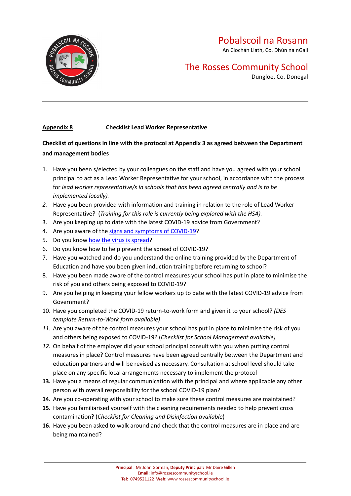

An Clochán Liath, Co. Dhún na nGall

## The Rosses Community School

Dungloe, Co. Donegal

#### **Appendix 8 Checklist Lead Worker Representative**

#### **Checklist of questions in line with the protocol at Appendix 3 as agreed between the Department and management bodies**

- 1. Have you been s/elected by your colleagues on the staff and have you agreed with your school principal to act as a Lead Worker Representative for your school, in accordance with the process for *lead worker representative/s in schools that has been agreed centrally and is to be implemented locally).*
- *2.* Have you been provided with information and training in relation to the role of Lead Worker Representative? (*Training for this role is currently being explored with the HSA).*
- 3. Are you keeping up to date with the latest COVID-19 advice from Government?
- 4. Are you aware of the signs and [symptoms](https://www2.hse.ie/conditions/coronavirus/symptoms.html) of COVID-19?
- 5. Do you know how the virus is [spread?](https://www2.hse.ie/conditions/coronavirus/how-coronavirus-is-spread.html)
- 6. Do you know how to help prevent the spread of COVID-19?
- 7. Have you watched and do you understand the online training provided by the Department of Education and have you been given induction training before returning to school?
- 8. Have you been made aware of the control measures your school has put in place to minimise the risk of you and others being exposed to COVID-19?
- 9. Are you helping in keeping your fellow workers up to date with the latest COVID-19 advice from Government?
- 10. Have you completed the COVID-19 return-to-work form and given it to your school? *(DES template Return-to-Work form available)*
- *11.* Are you aware of the control measures your school has put in place to minimise the risk of you and others being exposed to COVID-19? (*Checklist for School Management available)*
- *12.* On behalf of the employer did your school principal consult with you when putting control measures in place? Control measures have been agreed centrally between the Department and education partners and will be revised as necessary. Consultation at school level should take place on any specific local arrangements necessary to implement the protocol
- **13.** Have you a means of regular communication with the principal and where applicable any other person with overall responsibility for the school COVID-19 plan?
- **14.** Are you co-operating with your school to make sure these control measures are maintained?
- **15.** Have you familiarised yourself with the cleaning requirements needed to help prevent cross contamination? (*Checklist for Cleaning and Disinfection available*)
- **16.** Have you been asked to walk around and check that the control measures are in place and are being maintained?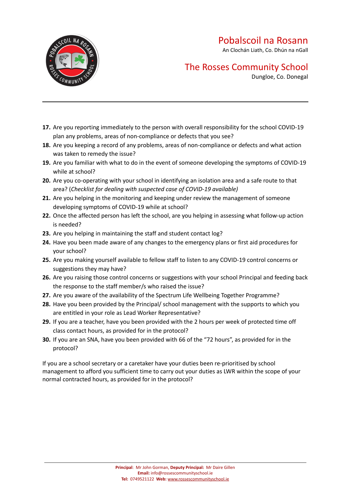An Clochán Liath, Co. Dhún na nGall



## The Rosses Community School

Dungloe, Co. Donegal

- **17.** Are you reporting immediately to the person with overall responsibility for the school COVID-19 plan any problems, areas of non-compliance or defects that you see?
- **18.** Are you keeping a record of any problems, areas of non-compliance or defects and what action was taken to remedy the issue?
- **19.** Are you familiar with what to do in the event of someone developing the symptoms of COVID-19 while at school?
- **20.** Are you co-operating with your school in identifying an isolation area and a safe route to that area? (*Checklist for dealing with suspected case of COVID-19 available)*
- **21.** Are you helping in the monitoring and keeping under review the management of someone developing symptoms of COVID-19 while at school?
- **22.** Once the affected person has left the school, are you helping in assessing what follow-up action is needed?
- **23.** Are you helping in maintaining the staff and student contact log?
- **24.** Have you been made aware of any changes to the emergency plans or first aid procedures for your school?
- **25.** Are you making yourself available to fellow staff to listen to any COVID-19 control concerns or suggestions they may have?
- **26.** Are you raising those control concerns or suggestions with your school Principal and feeding back the response to the staff member/s who raised the issue?
- **27.** Are you aware of the availability of the Spectrum Life Wellbeing Together Programme?
- **28.** Have you been provided by the Principal/ school management with the supports to which you are entitled in your role as Lead Worker Representative?
- **29.** If you are a teacher, have you been provided with the 2 hours per week of protected time off class contact hours, as provided for in the protocol?
- **30.** If you are an SNA, have you been provided with 66 of the "72 hours", as provided for in the protocol?

If you are a school secretary or a caretaker have your duties been re-prioritised by school management to afford you sufficient time to carry out your duties as LWR within the scope of your normal contracted hours, as provided for in the protocol?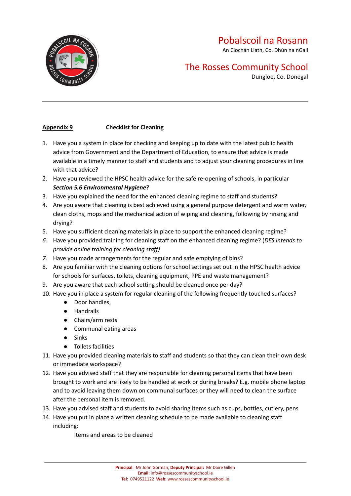

An Clochán Liath, Co. Dhún na nGall

## The Rosses Community School

Dungloe, Co. Donegal

#### **Appendix 9 Checklist for Cleaning**

- 1. Have you a system in place for checking and keeping up to date with the latest public health advice from Government and the Department of Education, to ensure that advice is made available in a timely manner to staff and students and to adjust your cleaning procedures in line with that advice?
- 2. Have you reviewed the HPSC health advice for the safe re-opening of schools, in particular *Section 5.6 Environmental Hygiene*?
- 3. Have you explained the need for the enhanced cleaning regime to staff and students?
- 4. Are you aware that cleaning is best achieved using a general purpose detergent and warm water, clean cloths, mops and the mechanical action of wiping and cleaning, following by rinsing and drying?
- 5. Have you sufficient cleaning materials in place to support the enhanced cleaning regime?
- *6.* Have you provided training for cleaning staff on the enhanced cleaning regime? (*DES intends to provide online training for cleaning staff)*
- *7.* Have you made arrangements for the regular and safe emptying of bins?
- 8. Are you familiar with the cleaning options for school settings set out in the HPSC health advice for schools for surfaces, toilets, cleaning equipment, PPE and waste management?
- 9. Are you aware that each school setting should be cleaned once per day?
- 10. Have you in place a system for regular cleaning of the following frequently touched surfaces?
	- Door handles,
	- Handrails
	- Chairs/arm rests
	- Communal eating areas
	- Sinks
	- Toilets facilities
- 11. Have you provided cleaning materials to staff and students so that they can clean their own desk or immediate workspace?
- 12. Have you advised staff that they are responsible for cleaning personal items that have been brought to work and are likely to be handled at work or during breaks? E.g. mobile phone laptop and to avoid leaving them down on communal surfaces or they will need to clean the surface after the personal item is removed.
- 13. Have you advised staff and students to avoid sharing items such as cups, bottles, cutlery, pens
- 14. Have you put in place a written cleaning schedule to be made available to cleaning staff including:

Items and areas to be cleaned